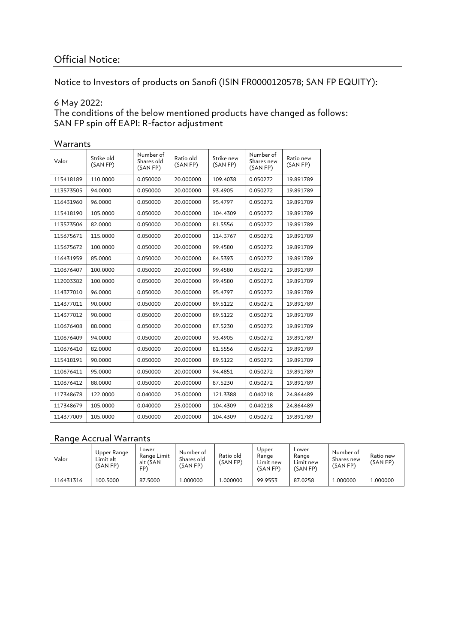# Official Notice:

Notice to Investors of products on Sanofi (ISIN FR0000120578; SAN FP EQUITY):

#### 6 May 2022:

The conditions of the below mentioned products have changed as follows: SAN FP spin off EAPI: R-factor adjustment

| v v al I al I L S |                        |                                     |                       |                        |                                     |                       |  |  |
|-------------------|------------------------|-------------------------------------|-----------------------|------------------------|-------------------------------------|-----------------------|--|--|
| Valor             | Strike old<br>(SAN FP) | Number of<br>Shares old<br>(SAN FP) | Ratio old<br>(SAN FP) | Strike new<br>(SAN FP) | Number of<br>Shares new<br>(SAN FP) | Ratio new<br>(SAN FP) |  |  |
| 115418189         | 110.0000               | 0.050000                            | 20.000000             | 109.4038               | 0.050272                            | 19.891789             |  |  |
| 113573505         | 94.0000                | 0.050000                            | 20.000000             | 93.4905                | 0.050272                            | 19.891789             |  |  |
| 116431960         | 96.0000                | 0.050000                            | 20.000000             | 95.4797                | 0.050272                            | 19.891789             |  |  |
| 115418190         | 105.0000               | 0.050000                            | 20.000000             | 104.4309               | 0.050272                            | 19.891789             |  |  |
| 113573506         | 82.0000                | 0.050000                            | 20.000000             | 81.5556                | 0.050272                            | 19.891789             |  |  |
| 115675671         | 115,0000               | 0.050000                            | 20.000000             | 114.3767               | 0.050272                            | 19.891789             |  |  |
| 115675672         | 100.0000               | 0.050000                            | 20.000000             | 99.4580                | 0.050272                            | 19.891789             |  |  |
| 116431959         | 85.0000                | 0.050000                            | 20.000000             | 84.5393                | 0.050272                            | 19.891789             |  |  |
| 110676407         | 100.0000               | 0.050000                            | 20.000000             | 99.4580                | 0.050272                            | 19.891789             |  |  |
| 112003382         | 100.0000               | 0.050000                            | 20.000000             | 99.4580                | 0.050272                            | 19.891789             |  |  |
| 114377010         | 96.0000                | 0.050000                            | 20.000000             | 95.4797                | 0.050272                            | 19.891789             |  |  |
| 114377011         | 90.0000                | 0.050000                            | 20.000000             | 89.5122                | 0.050272                            | 19.891789             |  |  |
| 114377012         | 90.0000                | 0.050000                            | 20.000000             | 89.5122                | 0.050272                            | 19.891789             |  |  |
| 110676408         | 88,0000                | 0.050000                            | 20.000000             | 87.5230                | 0.050272                            | 19.891789             |  |  |
| 110676409         | 94.0000                | 0.050000                            | 20.000000             | 93.4905                | 0.050272                            | 19.891789             |  |  |
| 110676410         | 82.0000                | 0.050000                            | 20.000000             | 81.5556                | 0.050272                            | 19.891789             |  |  |
| 115418191         | 90.0000                | 0.050000                            | 20.000000             | 89.5122                | 0.050272                            | 19.891789             |  |  |
| 110676411         | 95.0000                | 0.050000                            | 20.000000             | 94.4851                | 0.050272                            | 19.891789             |  |  |
| 110676412         | 88,0000                | 0.050000                            | 20.000000             | 87.5230                | 0.050272                            | 19.891789             |  |  |
| 117348678         | 122.0000               | 0.040000                            | 25.000000             | 121.3388               | 0.040218                            | 24.864489             |  |  |
| 117348679         | 105.0000               | 0.040000                            | 25.000000             | 104.4309               | 0.040218                            | 24.864489             |  |  |
| 114377009         | 105.0000               | 0.050000                            | 20.000000             | 104.4309               | 0.050272                            | 19.891789             |  |  |

#### Warrants

### Range Accrual Warrants

| Valor     | Upper Range<br>Limit alt<br>(SAN FP) | Lower<br>Range Limit<br>alt (SAN<br>FP <sup>'</sup> | Number of<br>Shares old<br>(SAN FP) | Ratio old<br>(SAN FP) | Upper<br>Range<br>Limit new<br>(SAN FP) | Lower<br>Range<br>Limit new<br>(SAN FP) | Number of<br>Shares new<br>(SAN FP) | Ratio new<br>(SAN FP) |
|-----------|--------------------------------------|-----------------------------------------------------|-------------------------------------|-----------------------|-----------------------------------------|-----------------------------------------|-------------------------------------|-----------------------|
| 116431316 | 100.5000                             | 87.5000                                             | .000000                             | 1.000000              | 99.9553                                 | 87.0258                                 | 1.000000                            | 1.000000              |